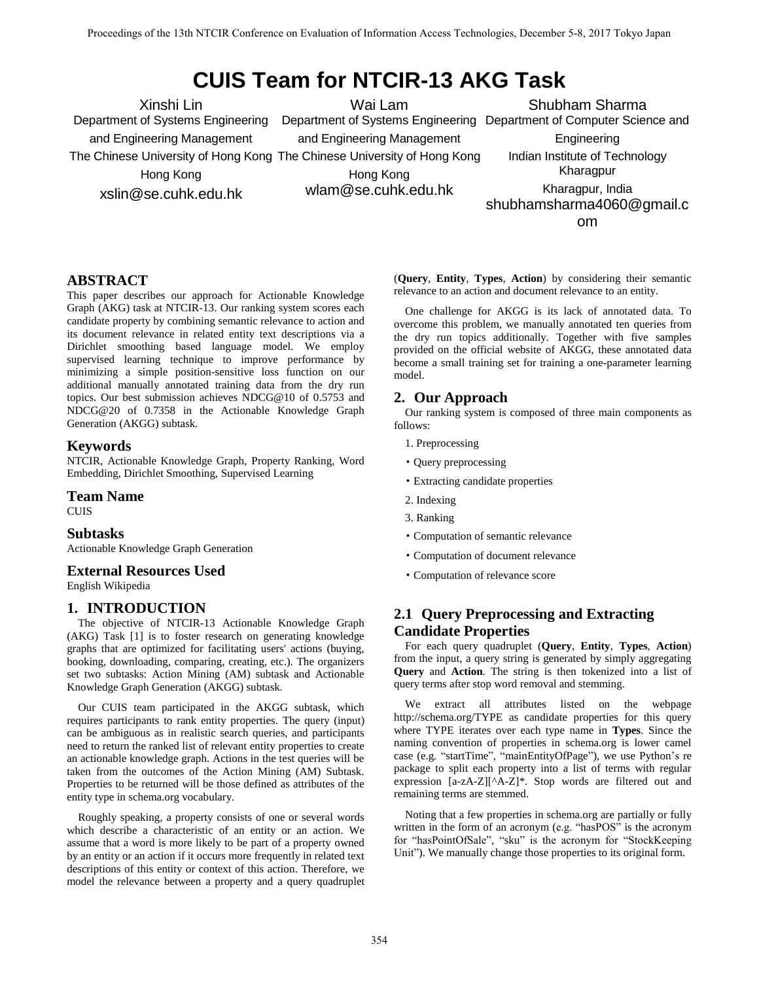# **CUIS Team for NTCIR-13 AKG Task**

Xinshi Lin Department of Systems Engineering and Engineering Management The Chinese University of Hong Kong The Chinese University of Hong Kong Hong Kong xslin@se.cuhk.edu.hk

Wai Lam Department of Systems Engineering Department of Computer Science and

and Engineering Management

Engineering Indian Institute of Technology

Shubham Sharma

Hong Kong wlam@se.cuhk.edu.hk

Kharagpur Kharagpur, India shubhamsharma4060@gmail.c

om

## **ABSTRACT**

This paper describes our approach for Actionable Knowledge Graph (AKG) task at NTCIR-13. Our ranking system scores each candidate property by combining semantic relevance to action and its document relevance in related entity text descriptions via a Dirichlet smoothing based language model. We employ supervised learning technique to improve performance by minimizing a simple position-sensitive loss function on our additional manually annotated training data from the dry run topics. Our best submission achieves NDCG@10 of 0.5753 and NDCG@20 of 0.7358 in the Actionable Knowledge Graph Generation (AKGG) subtask.

## **Keywords**

NTCIR, Actionable Knowledge Graph, Property Ranking, Word Embedding, Dirichlet Smoothing, Supervised Learning

#### **Team Name**

CUIS

## **Subtasks**

Actionable Knowledge Graph Generation

## **External Resources Used**

English Wikipedia

## **1. INTRODUCTION**

The objective of NTCIR-13 Actionable Knowledge Graph (AKG) Task [1] is to foster research on generating knowledge graphs that are optimized for facilitating users' actions (buying, booking, downloading, comparing, creating, etc.). The organizers set two subtasks: Action Mining (AM) subtask and Actionable Knowledge Graph Generation (AKGG) subtask.

Our CUIS team participated in the AKGG subtask, which requires participants to rank entity properties. The query (input) can be ambiguous as in realistic search queries, and participants need to return the ranked list of relevant entity properties to create an actionable knowledge graph. Actions in the test queries will be taken from the outcomes of the Action Mining (AM) Subtask. Properties to be returned will be those defined as attributes of the entity type in schema.org vocabulary.

Roughly speaking, a property consists of one or several words which describe a characteristic of an entity or an action. We assume that a word is more likely to be part of a property owned by an entity or an action if it occurs more frequently in related text descriptions of this entity or context of this action. Therefore, we model the relevance between a property and a query quadruplet

(**Query**, **Entity**, **Types**, **Action**) by considering their semantic relevance to an action and document relevance to an entity.

One challenge for AKGG is its lack of annotated data. To overcome this problem, we manually annotated ten queries from the dry run topics additionally. Together with five samples provided on the official website of AKGG, these annotated data become a small training set for training a one-parameter learning model.

## **2. Our Approach**

Our ranking system is composed of three main components as follows:

- 1. Preprocessing
- ·Query preprocessing
- ·Extracting candidate properties
- 2. Indexing
- 3. Ranking
- ·Computation of semantic relevance
- ·Computation of document relevance
- ·Computation of relevance score

## **2.1 Query Preprocessing and Extracting Candidate Properties**

For each query quadruplet (**Query**, **Entity**, **Types**, **Action**) from the input, a query string is generated by simply aggregating **Query** and **Action**. The string is then tokenized into a list of query terms after stop word removal and stemming.

We extract all attributes listed on the webpage http://schema.org/TYPE as candidate properties for this query where TYPE iterates over each type name in **Types**. Since the naming convention of properties in schema.org is lower camel case (e.g. "startTime", "mainEntityOfPage"), we use Python's re package to split each property into a list of terms with regular expression [a-zA-Z][^A-Z]\*. Stop words are filtered out and remaining terms are stemmed.

Noting that a few properties in schema.org are partially or fully written in the form of an acronym (e.g. "hasPOS" is the acronym for "hasPointOfSale", "sku" is the acronym for "StockKeeping Unit"). We manually change those properties to its original form.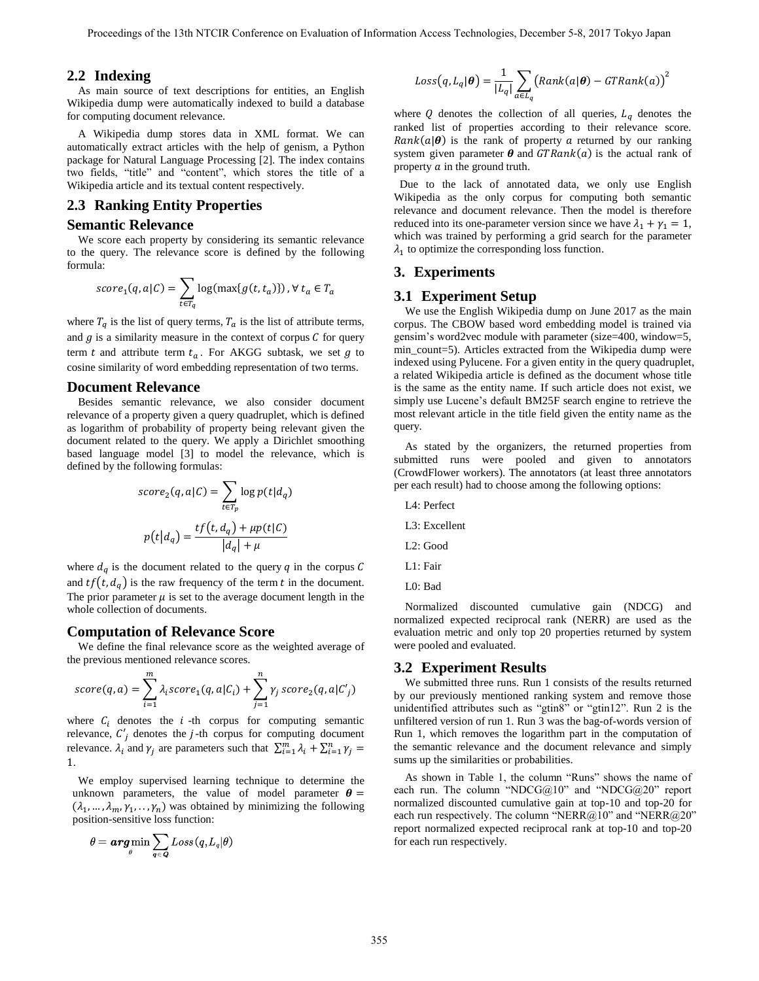#### **2.2 Indexing**

As main source of text descriptions for entities, an English Wikipedia dump were automatically indexed to build a database for computing document relevance.

A Wikipedia dump stores data in XML format. We can automatically extract articles with the help of genism, a Python package for Natural Language Processing [2]. The index contains two fields, "title" and "content", which stores the title of a Wikipedia article and its textual content respectively.

## **2.3 Ranking Entity Properties**

#### **Semantic Relevance**

We score each property by considering its semantic relevance to the query. The relevance score is defined by the following formula:

$$
score_1(q, a|C) = \sum_{t \in T_q} log(max\{g(t, t_a)\}) \, , \forall \, t_a \in T_a
$$

where  $T_q$  is the list of query terms,  $T_a$  is the list of attribute terms, and  $g$  is a similarity measure in the context of corpus  $C$  for query term t and attribute term  $t_a$ . For AKGG subtask, we set  $g$  to cosine similarity of word embedding representation of two terms.

#### **Document Relevance**

Besides semantic relevance, we also consider document relevance of a property given a query quadruplet, which is defined as logarithm of probability of property being relevant given the document related to the query. We apply a Dirichlet smoothing based language model [3] to model the relevance, which is defined by the following formulas:

$$
score_2(q, a|C) = \sum_{t \in T_p} log p(t|d_q)
$$

$$
p(t|d_q) = \frac{tf(t, d_q) + \mu p(t|C)}{|d_q| + \mu}
$$

where  $d_q$  is the document related to the query q in the corpus C and  $tf(t, d_q)$  is the raw frequency of the term t in the document. The prior parameter  $\mu$  is set to the average document length in the whole collection of documents.

#### **Computation of Relevance Score**

We define the final relevance score as the weighted average of the previous mentioned relevance scores.

$$
score(q, a) = \sum_{i=1}^{m} \lambda_i score_1(q, a | C_i) + \sum_{j=1}^{n} \gamma_j score_2(q, a | C'_j)
$$

where  $C_i$  denotes the  $i$ -th corpus for computing semantic relevance,  $C'_i$  denotes the *j*-th corpus for computing document relevance.  $\lambda_i$  and  $\gamma_j$  are parameters such that  $\sum_{i=1}^m \lambda_i + \sum_{i=1}^n \gamma_j =$ 1.

We employ supervised learning technique to determine the unknown parameters, the value of model parameter  $\theta =$  $(\lambda_1, ..., \lambda_m, \gamma_1, ..., \gamma_n)$  was obtained by minimizing the following position-sensitive loss function:

$$
\theta = \mathop{\mathrm{\textit{arg\,min}}}\limits_{\theta} \sum_{\boldsymbol{q} \in \boldsymbol{Q}} Loss(q, L_{\mathit{q}} | \theta)
$$

$$
Loss(q, L_q | \boldsymbol{\theta}) = \frac{1}{|L_q|} \sum_{a \in L_q} (Rank(a | \boldsymbol{\theta}) - GTRank(a))^2
$$

where  $Q$  denotes the collection of all queries,  $L_q$  denotes the ranked list of properties according to their relevance score.  $Rank(a|\theta)$  is the rank of property a returned by our ranking system given parameter  $\theta$  and  $GTRank(a)$  is the actual rank of property  $\alpha$  in the ground truth.

 Due to the lack of annotated data, we only use English Wikipedia as the only corpus for computing both semantic relevance and document relevance. Then the model is therefore reduced into its one-parameter version since we have  $\lambda_1 + \gamma_1 = 1$ , which was trained by performing a grid search for the parameter  $\lambda_1$  to optimize the corresponding loss function.

## **3. Experiments**

#### **3.1 Experiment Setup**

We use the English Wikipedia dump on June 2017 as the main corpus. The CBOW based word embedding model is trained via gensim's word2vec module with parameter (size=400, window=5, min count=5). Articles extracted from the Wikipedia dump were indexed using Pylucene. For a given entity in the query quadruplet, a related Wikipedia article is defined as the document whose title is the same as the entity name. If such article does not exist, we simply use Lucene's default BM25F search engine to retrieve the most relevant article in the title field given the entity name as the query.

As stated by the organizers, the returned properties from submitted runs were pooled and given to annotators (CrowdFlower workers). The annotators (at least three annotators per each result) had to choose among the following options:

- L4: Perfect
- L3: Excellent
- L2: Good
- L1: Fair
- L0: Bad

Normalized discounted cumulative gain (NDCG) and normalized expected reciprocal rank (NERR) are used as the evaluation metric and only top 20 properties returned by system were pooled and evaluated.

#### **3.2 Experiment Results**

We submitted three runs. Run 1 consists of the results returned by our previously mentioned ranking system and remove those unidentified attributes such as "gtin8" or "gtin12". Run 2 is the unfiltered version of run 1. Run 3 was the bag-of-words version of Run 1, which removes the logarithm part in the computation of the semantic relevance and the document relevance and simply sums up the similarities or probabilities.

As shown in Table 1, the column "Runs" shows the name of each run. The column "NDCG@10" and "NDCG@20" report normalized discounted cumulative gain at top-10 and top-20 for each run respectively. The column "NERR@10" and "NERR@20" report normalized expected reciprocal rank at top-10 and top-20 for each run respectively.